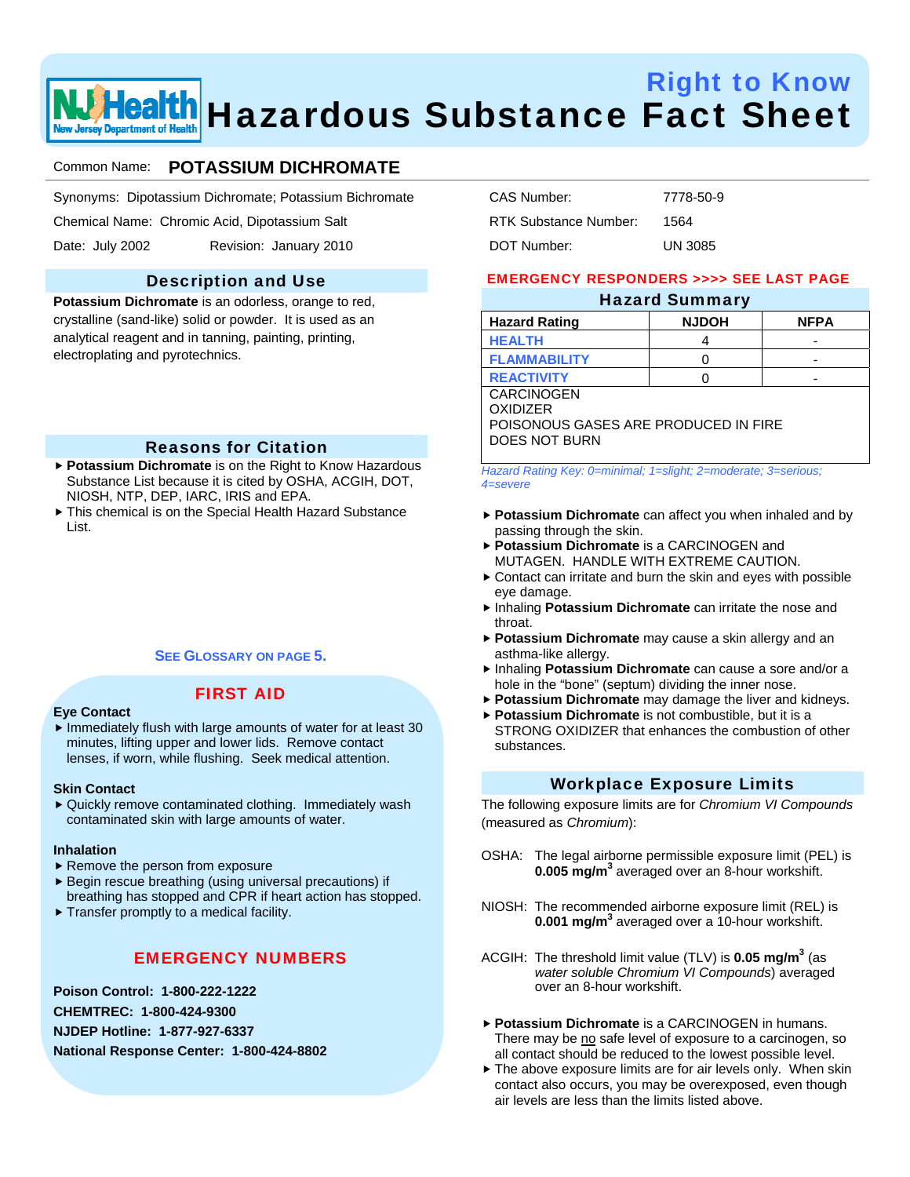# Right to Know Wealth Hazardous Substance Fact Sheet

### Common Name: **POTASSIUM DICHROMATE**

Synonyms: Dipotassium Dichromate; Potassium Bichromate

Chemical Name: Chromic Acid, Dipotassium Salt

Date: July 2002 Revision: January 2010

#### Description and Use

**Potassium Dichromate** is an odorless, orange to red, crystalline (sand-like) solid or powder. It is used as an analytical reagent and in tanning, painting, printing, electroplating and pyrotechnics.

#### Reasons for Citation

- **Potassium Dichromate** is on the Right to Know Hazardous Substance List because it is cited by OSHA, ACGIH, DOT, NIOSH, NTP, DEP, IARC, IRIS and EPA.
- $\triangleright$  This chemical is on the Special Health Hazard Substance List.

#### **SEE GLOSSARY ON PAGE 5.**

#### **Eye Contact**

#### FIRST AID

 $\blacktriangleright$  Immediately flush with large amounts of water for at least 30 minutes, lifting upper and lower lids. Remove contact lenses, if worn, while flushing. Seek medical attention.

#### **Skin Contact**

 $\blacktriangleright$  Quickly remove contaminated clothing. Immediately wash contaminated skin with large amounts of water.

#### **Inhalation**

- $\blacktriangleright$  Remove the person from exposure
- $\blacktriangleright$  Begin rescue breathing (using universal precautions) if breathing has stopped and CPR if heart action has stopped.
- $\blacktriangleright$  Transfer promptly to a medical facility.

#### EMERGENCY NUMBERS

**Poison Control: 1-800-222-1222 CHEMTREC: 1-800-424-9300 NJDEP Hotline: 1-877-927-6337 National Response Center: 1-800-424-8802** 

| CAS Number:           | 7778-50-9 |
|-----------------------|-----------|
| RTK Substance Number: | 1564      |
| DOT Number:           | UN 3085   |

#### EMERGENCY RESPONDERS >>>> SEE LAST PAGE

#### Hazard Summary

| <b>Hazard Rating</b> | <b>NJDOH</b> | <b>NFPA</b> |
|----------------------|--------------|-------------|
| <b>HEALTH</b>        |              | -           |
| <b>FLAMMABILITY</b>  |              | -           |
| <b>REACTIVITY</b>    |              | -           |
| <b>CARCINOGEN</b>    |              |             |

**OXIDIZER** POISONOUS GASES ARE PRODUCED IN FIRE

DOES NOT BURN

*Hazard Rating Key: 0=minimal; 1=slight; 2=moderate; 3=serious; 4=severe*

- **Potassium Dichromate** can affect you when inhaled and by passing through the skin.
- ▶ Potassium Dichromate is a CARCINOGEN and MUTAGEN. HANDLE WITH EXTREME CAUTION.
- $\triangleright$  Contact can irritate and burn the skin and eyes with possible eye damage.
- **F** Inhaling **Potassium Dichromate** can irritate the nose and throat.
- **Potassium Dichromate** may cause a skin allergy and an asthma-like allergy.
- **h** Inhaling **Potassium Dichromate** can cause a sore and/or a hole in the "bone" (septum) dividing the inner nose.
- **Potassium Dichromate** may damage the liver and kidneys.
- **Potassium Dichromate** is not combustible, but it is a STRONG OXIDIZER that enhances the combustion of other substances.

#### Workplace Exposure Limits

The following exposure limits are for *Chromium VI Compounds* (measured as *Chromium*):

- OSHA: The legal airborne permissible exposure limit (PEL) is **0.005 mg/m<sup>3</sup> averaged over an 8-hour workshift.**
- NIOSH: The recommended airborne exposure limit (REL) is **0.001 mg/m<sup>3</sup> averaged over a 10-hour workshift.**
- ACGIH: The threshold limit value (TLV) is **0.05 mg/m3** (as *water soluble Chromium VI Compounds*) averaged over an 8-hour workshift.
- **Potassium Dichromate** is a CARCINOGEN in humans. There may be no safe level of exposure to a carcinogen, so all contact should be reduced to the lowest possible level.
- $\blacktriangleright$  The above exposure limits are for air levels only. When skin contact also occurs, you may be overexposed, even though air levels are less than the limits listed above.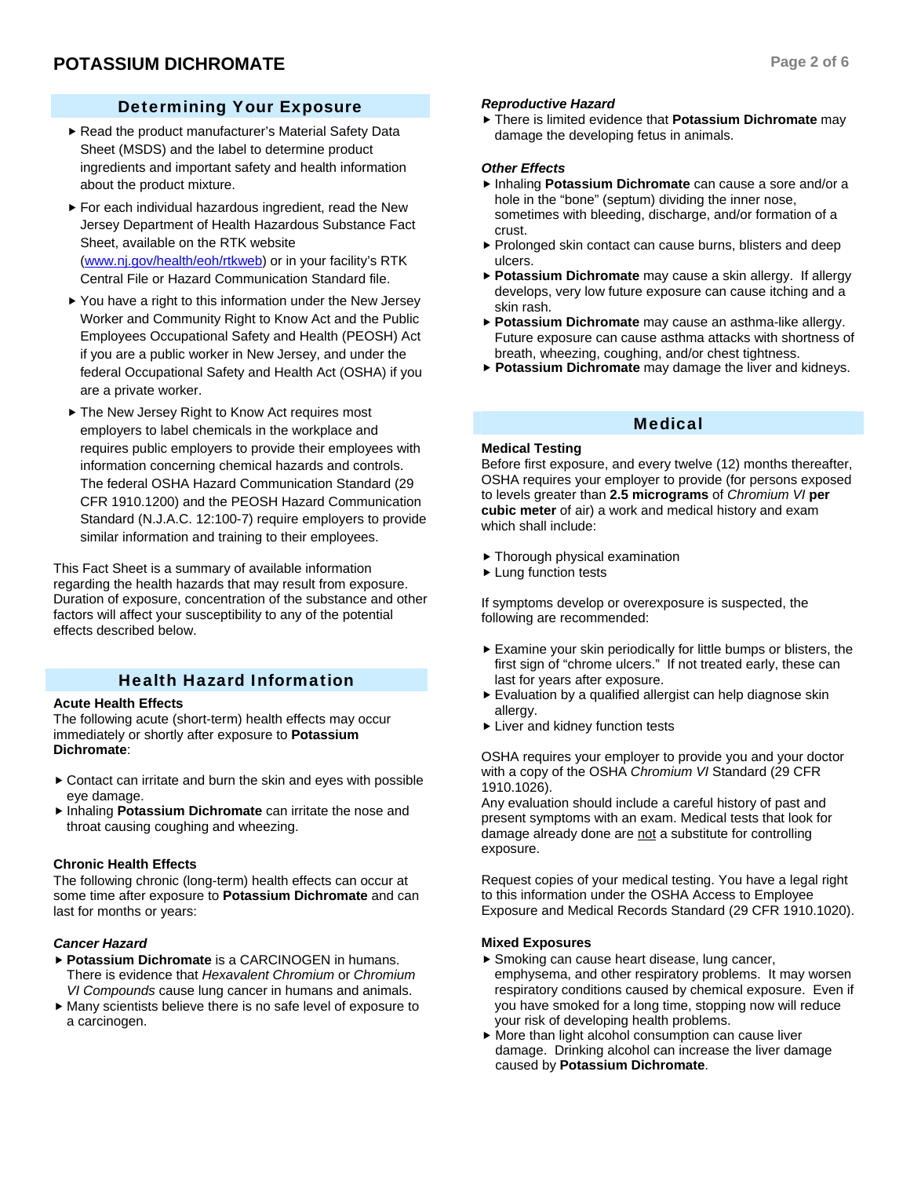### Determining Your Exposure

- Read the product manufacturer's Material Safety Data Sheet (MSDS) and the label to determine product ingredients and important safety and health information about the product mixture.
- $\blacktriangleright$  For each individual hazardous ingredient, read the New Jersey Department of Health Hazardous Substance Fact Sheet, available on the RTK website (www.nj.gov/health/eoh/rtkweb) or in your facility's RTK Central File or Hazard Communication Standard file.
- $\blacktriangleright$  You have a right to this information under the New Jersey Worker and Community Right to Know Act and the Public Employees Occupational Safety and Health (PEOSH) Act if you are a public worker in New Jersey, and under the federal Occupational Safety and Health Act (OSHA) if you are a private worker.
- ▶ The New Jersey Right to Know Act requires most employers to label chemicals in the workplace and requires public employers to provide their employees with information concerning chemical hazards and controls. The federal OSHA Hazard Communication Standard (29 CFR 1910.1200) and the PEOSH Hazard Communication Standard (N.J.A.C. 12:100-7) require employers to provide similar information and training to their employees.

This Fact Sheet is a summary of available information regarding the health hazards that may result from exposure. Duration of exposure, concentration of the substance and other factors will affect your susceptibility to any of the potential effects described below.

#### Health Hazard Information

#### **Acute Health Effects**

The following acute (short-term) health effects may occur immediately or shortly after exposure to **Potassium Dichromate**:

- $\triangleright$  Contact can irritate and burn the skin and eyes with possible eye damage.
- **F** Inhaling **Potassium Dichromate** can irritate the nose and throat causing coughing and wheezing.

#### **Chronic Health Effects**

The following chronic (long-term) health effects can occur at some time after exposure to **Potassium Dichromate** and can last for months or years:

#### *Cancer Hazard*

- **Potassium Dichromate** is a CARCINOGEN in humans. There is evidence that *Hexavalent Chromium* or *Chromium VI Compounds* cause lung cancer in humans and animals.
- $\blacktriangleright$  Many scientists believe there is no safe level of exposure to a carcinogen.

#### *Reproductive Hazard*

 $\triangleright$  There is limited evidence that **Potassium Dichromate** may damage the developing fetus in animals.

#### *Other Effects*

- **hinhaling Potassium Dichromate** can cause a sore and/or a hole in the "bone" (septum) dividing the inner nose, sometimes with bleeding, discharge, and/or formation of a crust.
- $\blacktriangleright$  Prolonged skin contact can cause burns, blisters and deep ulcers.
- **Potassium Dichromate** may cause a skin allergy. If allergy develops, very low future exposure can cause itching and a skin rash.
- **Potassium Dichromate** may cause an asthma-like allergy. Future exposure can cause asthma attacks with shortness of breath, wheezing, coughing, and/or chest tightness.
- **Potassium Dichromate** may damage the liver and kidneys.

#### Medical

#### **Medical Testing**

Before first exposure, and every twelve (12) months thereafter, OSHA requires your employer to provide (for persons exposed to levels greater than **2.5 micrograms** of *Chromium VI* **per cubic meter** of air) a work and medical history and exam which shall include:

- $\blacktriangleright$  Thorough physical examination
- $\blacktriangleright$  Lung function tests

If symptoms develop or overexposure is suspected, the following are recommended:

- $\blacktriangleright$  Examine your skin periodically for little bumps or blisters, the first sign of "chrome ulcers." If not treated early, these can last for years after exposure.
- $\blacktriangleright$  Evaluation by a qualified allergist can help diagnose skin allergy.
- $\blacktriangleright$  Liver and kidney function tests

OSHA requires your employer to provide you and your doctor with a copy of the OSHA *Chromium VI* Standard (29 CFR 1910.1026).

Any evaluation should include a careful history of past and present symptoms with an exam. Medical tests that look for damage already done are not a substitute for controlling exposure.

Request copies of your medical testing. You have a legal right to this information under the OSHA Access to Employee Exposure and Medical Records Standard (29 CFR 1910.1020).

#### **Mixed Exposures**

- $\blacktriangleright$  Smoking can cause heart disease, lung cancer, emphysema, and other respiratory problems. It may worsen respiratory conditions caused by chemical exposure. Even if you have smoked for a long time, stopping now will reduce your risk of developing health problems.
- $\blacktriangleright$  More than light alcohol consumption can cause liver damage. Drinking alcohol can increase the liver damage caused by **Potassium Dichromate**.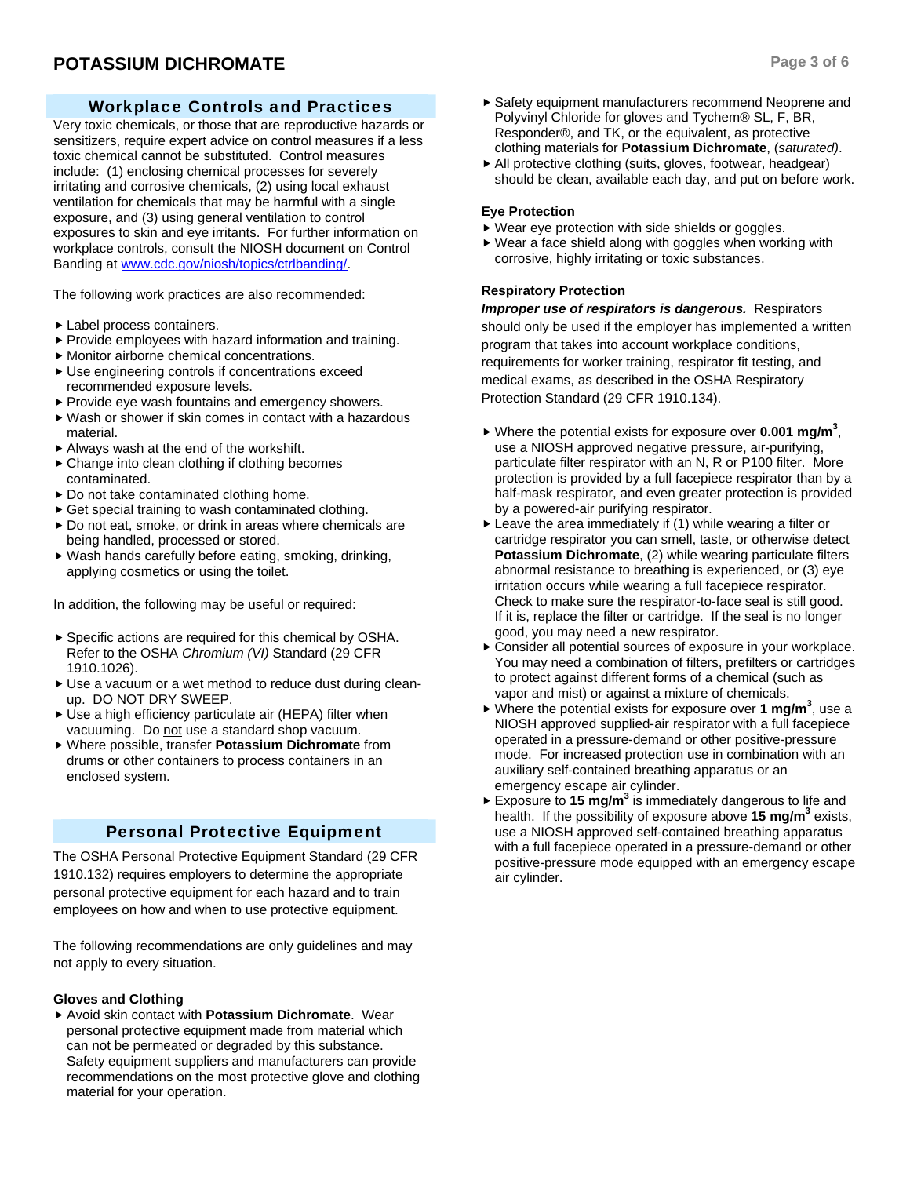### Workplace Controls and Practices

Very toxic chemicals, or those that are reproductive hazards or sensitizers, require expert advice on control measures if a less toxic chemical cannot be substituted. Control measures include: (1) enclosing chemical processes for severely irritating and corrosive chemicals, (2) using local exhaust ventilation for chemicals that may be harmful with a single exposure, and (3) using general ventilation to control exposures to skin and eye irritants. For further information on workplace controls, consult the NIOSH document on Control Banding at www.cdc.gov/niosh/topics/ctrlbanding/.

The following work practices are also recommended:

- $\blacktriangleright$  Label process containers.
- $\blacktriangleright$  Provide employees with hazard information and training.
- $\blacktriangleright$  Monitor airborne chemical concentrations.
- $\blacktriangleright$  Use engineering controls if concentrations exceed recommended exposure levels.
- $\blacktriangleright$  Provide eye wash fountains and emergency showers.
- $\blacktriangleright$  Wash or shower if skin comes in contact with a hazardous material.
- $\blacktriangleright$  Always wash at the end of the workshift.
- $\triangleright$  Change into clean clothing if clothing becomes contaminated.
- $\triangleright$  Do not take contaminated clothing home.
- $\triangleright$  Get special training to wash contaminated clothing.
- $\triangleright$  Do not eat, smoke, or drink in areas where chemicals are being handled, processed or stored.
- $\blacktriangleright$  Wash hands carefully before eating, smoking, drinking, applying cosmetics or using the toilet.

In addition, the following may be useful or required:

- $\triangleright$  Specific actions are required for this chemical by OSHA. Refer to the OSHA *Chromium (VI)* Standard (29 CFR 1910.1026).
- Use a vacuum or a wet method to reduce dust during cleanup. DO NOT DRY SWEEP.
- $\blacktriangleright$  Use a high efficiency particulate air (HEPA) filter when vacuuming. Do not use a standard shop vacuum.
- $\triangleright$  Where possible, transfer **Potassium Dichromate** from drums or other containers to process containers in an enclosed system.

#### Personal Protective Equipment

The OSHA Personal Protective Equipment Standard (29 CFR 1910.132) requires employers to determine the appropriate personal protective equipment for each hazard and to train employees on how and when to use protective equipment.

The following recommendations are only guidelines and may not apply to every situation.

#### **Gloves and Clothing**

 $\blacktriangleright$  Avoid skin contact with **Potassium Dichromate**. Wear personal protective equipment made from material which can not be permeated or degraded by this substance. Safety equipment suppliers and manufacturers can provide recommendations on the most protective glove and clothing material for your operation.

- $\triangleright$  Safety equipment manufacturers recommend Neoprene and Polyvinyl Chloride for gloves and Tychem® SL, F, BR, Responder®, and TK, or the equivalent, as protective clothing materials for **Potassium Dichromate**, (*saturated)*.
- $\blacktriangleright$  All protective clothing (suits, gloves, footwear, headgear) should be clean, available each day, and put on before work.

#### **Eye Protection**

- $\blacktriangleright$  Wear eye protection with side shields or goggles.
- $\blacktriangleright$  Wear a face shield along with goggles when working with corrosive, highly irritating or toxic substances.

#### **Respiratory Protection**

*Improper use of respirators is dangerous.* Respirators should only be used if the employer has implemented a written program that takes into account workplace conditions, requirements for worker training, respirator fit testing, and medical exams, as described in the OSHA Respiratory Protection Standard (29 CFR 1910.134).

- $\blacktriangleright$  Where the potential exists for exposure over **0.001 mg/m<sup>3</sup>**, use a NIOSH approved negative pressure, air-purifying, particulate filter respirator with an N, R or P100 filter. More protection is provided by a full facepiece respirator than by a half-mask respirator, and even greater protection is provided by a powered-air purifying respirator.
- $\blacktriangleright$  Leave the area immediately if (1) while wearing a filter or cartridge respirator you can smell, taste, or otherwise detect **Potassium Dichromate**, (2) while wearing particulate filters abnormal resistance to breathing is experienced, or (3) eye irritation occurs while wearing a full facepiece respirator. Check to make sure the respirator-to-face seal is still good. If it is, replace the filter or cartridge. If the seal is no longer good, you may need a new respirator.
- $\triangleright$  Consider all potential sources of exposure in your workplace. You may need a combination of filters, prefilters or cartridges to protect against different forms of a chemical (such as vapor and mist) or against a mixture of chemicals.
- ▶ Where the potential exists for exposure over 1 mg/m<sup>3</sup>, use a NIOSH approved supplied-air respirator with a full facepiece operated in a pressure-demand or other positive-pressure mode. For increased protection use in combination with an auxiliary self-contained breathing apparatus or an emergency escape air cylinder.
- $\triangleright$  Exposure to 15 mg/m<sup>3</sup> is immediately dangerous to life and health. If the possibility of exposure above 15 mg/m<sup>3</sup> exists, use a NIOSH approved self-contained breathing apparatus with a full facepiece operated in a pressure-demand or other positive-pressure mode equipped with an emergency escape air cylinder.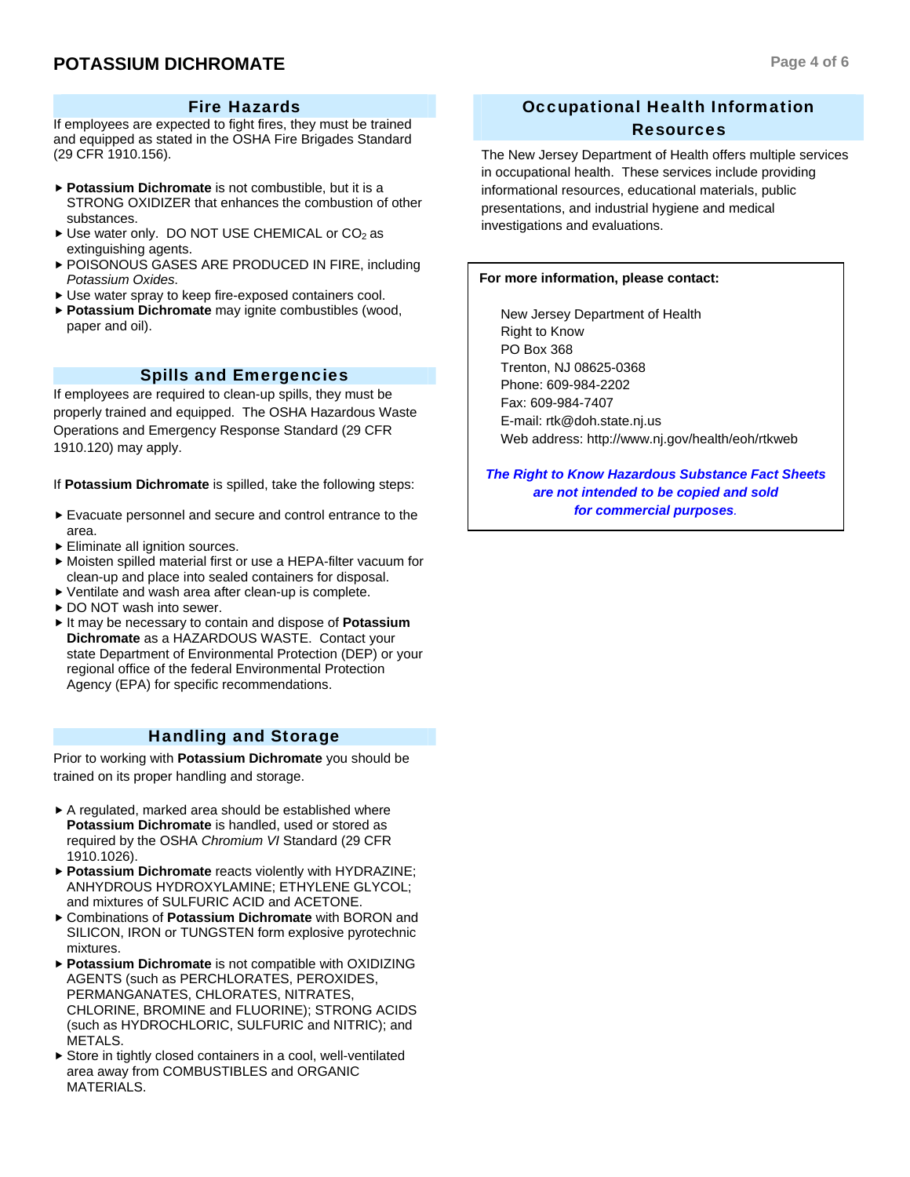### **POTASSIUM DICHROMATE POTASSIUM DICHROMATE**

#### Fire Hazards

If employees are expected to fight fires, they must be trained and equipped as stated in the OSHA Fire Brigades Standard (29 CFR 1910.156).

- ▶ Potassium Dichromate is not combustible, but it is a STRONG OXIDIZER that enhances the combustion of other substances.
- $\triangleright$  Use water only. DO NOT USE CHEMICAL or CO<sub>2</sub> as extinguishing agents.
- ▶ POISONOUS GASES ARE PRODUCED IN FIRE, including *Potassium Oxides*.
- $\blacktriangleright$  Use water spray to keep fire-exposed containers cool.
- **Potassium Dichromate** may ignite combustibles (wood, paper and oil).

#### Spills and Emergencies

If employees are required to clean-up spills, they must be properly trained and equipped. The OSHA Hazardous Waste Operations and Emergency Response Standard (29 CFR 1910.120) may apply.

If **Potassium Dichromate** is spilled, take the following steps:

- $\blacktriangleright$  Evacuate personnel and secure and control entrance to the area.
- $\blacktriangleright$  Eliminate all ignition sources.
- $\triangleright$  Moisten spilled material first or use a HEPA-filter vacuum for clean-up and place into sealed containers for disposal.
- $\blacktriangleright$  Ventilate and wash area after clean-up is complete.
- ▶ DO NOT wash into sewer.
- It may be necessary to contain and dispose of **Potassium Dichromate** as a HAZARDOUS WASTE. Contact your state Department of Environmental Protection (DEP) or your regional office of the federal Environmental Protection Agency (EPA) for specific recommendations.

### Handling and Storage

Prior to working with **Potassium Dichromate** you should be trained on its proper handling and storage.

- $\triangleright$  A regulated, marked area should be established where **Potassium Dichromate** is handled, used or stored as required by the OSHA *Chromium VI* Standard (29 CFR 1910.1026).
- **Potassium Dichromate** reacts violently with HYDRAZINE; ANHYDROUS HYDROXYLAMINE; ETHYLENE GLYCOL; and mixtures of SULFURIC ACID and ACETONE.
- f Combinations of **Potassium Dichromate** with BORON and SILICON, IRON or TUNGSTEN form explosive pyrotechnic mixtures.
- **Potassium Dichromate** is not compatible with OXIDIZING AGENTS (such as PERCHLORATES, PEROXIDES, PERMANGANATES, CHLORATES, NITRATES, CHLORINE, BROMINE and FLUORINE); STRONG ACIDS (such as HYDROCHLORIC, SULFURIC and NITRIC); and METALS.
- $\triangleright$  Store in tightly closed containers in a cool, well-ventilated area away from COMBUSTIBLES and ORGANIC MATERIALS.

## Occupational Health Information Resources

The New Jersey Department of Health offers multiple services in occupational health. These services include providing informational resources, educational materials, public presentations, and industrial hygiene and medical investigations and evaluations.

#### **For more information, please contact:**

 New Jersey Department of Health Right to Know PO Box 368 Trenton, NJ 08625-0368 Phone: 609-984-2202 Fax: 609-984-7407 E-mail: rtk@doh.state.nj.us Web address: http://www.nj.gov/health/eoh/rtkweb

*The Right to Know Hazardous Substance Fact Sheets are not intended to be copied and sold for commercial purposes.*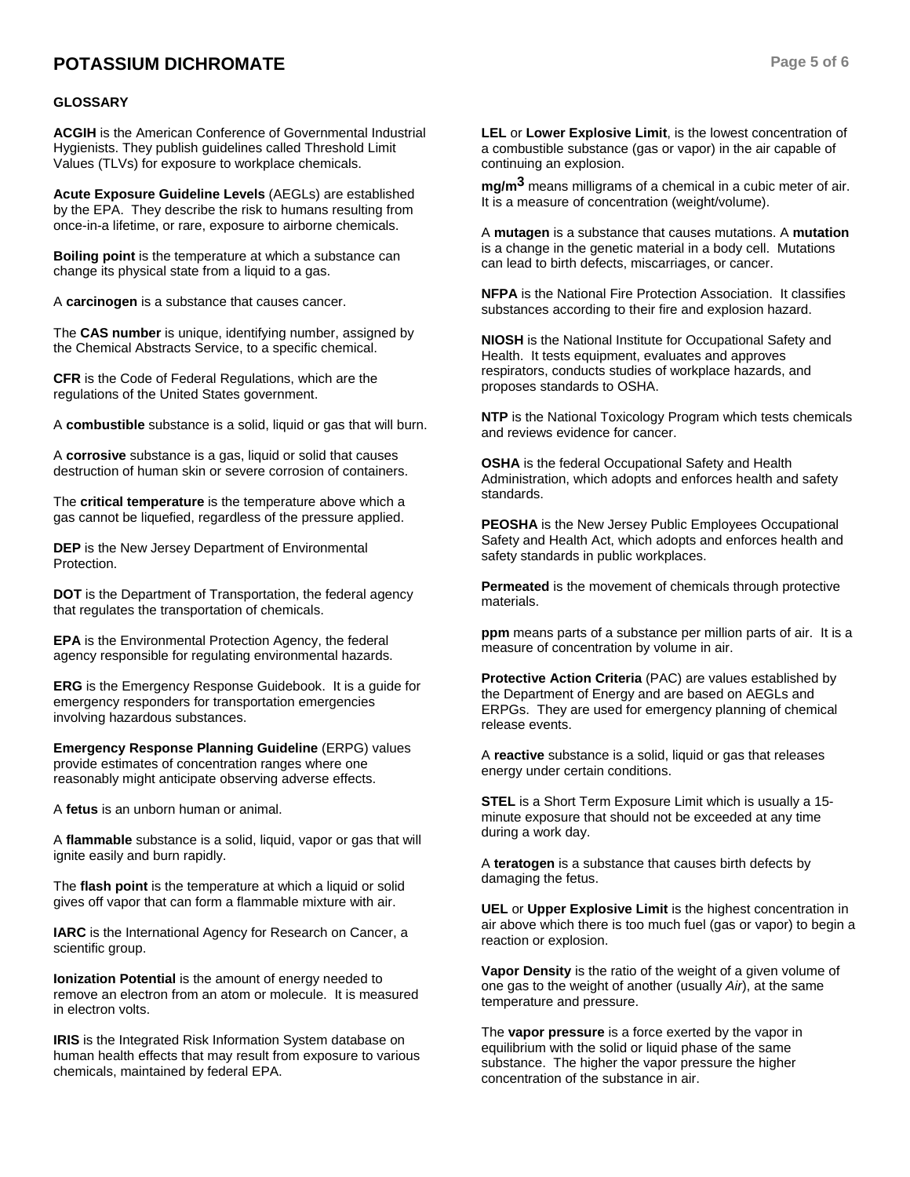### **POTASSIUM DICHROMATE POTASSIUM DICHROMATE**

#### **GLOSSARY**

**ACGIH** is the American Conference of Governmental Industrial Hygienists. They publish guidelines called Threshold Limit Values (TLVs) for exposure to workplace chemicals.

**Acute Exposure Guideline Levels** (AEGLs) are established by the EPA. They describe the risk to humans resulting from once-in-a lifetime, or rare, exposure to airborne chemicals.

**Boiling point** is the temperature at which a substance can change its physical state from a liquid to a gas.

A **carcinogen** is a substance that causes cancer.

The **CAS number** is unique, identifying number, assigned by the Chemical Abstracts Service, to a specific chemical.

**CFR** is the Code of Federal Regulations, which are the regulations of the United States government.

A **combustible** substance is a solid, liquid or gas that will burn.

A **corrosive** substance is a gas, liquid or solid that causes destruction of human skin or severe corrosion of containers.

The **critical temperature** is the temperature above which a gas cannot be liquefied, regardless of the pressure applied.

**DEP** is the New Jersey Department of Environmental Protection.

**DOT** is the Department of Transportation, the federal agency that regulates the transportation of chemicals.

**EPA** is the Environmental Protection Agency, the federal agency responsible for regulating environmental hazards.

**ERG** is the Emergency Response Guidebook. It is a guide for emergency responders for transportation emergencies involving hazardous substances.

**Emergency Response Planning Guideline** (ERPG) values provide estimates of concentration ranges where one reasonably might anticipate observing adverse effects.

A **fetus** is an unborn human or animal.

A **flammable** substance is a solid, liquid, vapor or gas that will ignite easily and burn rapidly.

The **flash point** is the temperature at which a liquid or solid gives off vapor that can form a flammable mixture with air.

**IARC** is the International Agency for Research on Cancer, a scientific group.

**Ionization Potential** is the amount of energy needed to remove an electron from an atom or molecule. It is measured in electron volts.

**IRIS** is the Integrated Risk Information System database on human health effects that may result from exposure to various chemicals, maintained by federal EPA.

**LEL** or **Lower Explosive Limit**, is the lowest concentration of a combustible substance (gas or vapor) in the air capable of continuing an explosion.

**mg/m3** means milligrams of a chemical in a cubic meter of air. It is a measure of concentration (weight/volume).

A **mutagen** is a substance that causes mutations. A **mutation** is a change in the genetic material in a body cell. Mutations can lead to birth defects, miscarriages, or cancer.

**NFPA** is the National Fire Protection Association. It classifies substances according to their fire and explosion hazard.

**NIOSH** is the National Institute for Occupational Safety and Health. It tests equipment, evaluates and approves respirators, conducts studies of workplace hazards, and proposes standards to OSHA.

**NTP** is the National Toxicology Program which tests chemicals and reviews evidence for cancer.

**OSHA** is the federal Occupational Safety and Health Administration, which adopts and enforces health and safety standards.

**PEOSHA** is the New Jersey Public Employees Occupational Safety and Health Act, which adopts and enforces health and safety standards in public workplaces.

**Permeated** is the movement of chemicals through protective materials.

**ppm** means parts of a substance per million parts of air. It is a measure of concentration by volume in air.

**Protective Action Criteria** (PAC) are values established by the Department of Energy and are based on AEGLs and ERPGs. They are used for emergency planning of chemical release events.

A **reactive** substance is a solid, liquid or gas that releases energy under certain conditions.

**STEL** is a Short Term Exposure Limit which is usually a 15 minute exposure that should not be exceeded at any time during a work day.

A **teratogen** is a substance that causes birth defects by damaging the fetus.

**UEL** or **Upper Explosive Limit** is the highest concentration in air above which there is too much fuel (gas or vapor) to begin a reaction or explosion.

**Vapor Density** is the ratio of the weight of a given volume of one gas to the weight of another (usually *Air*), at the same temperature and pressure.

The **vapor pressure** is a force exerted by the vapor in equilibrium with the solid or liquid phase of the same substance. The higher the vapor pressure the higher concentration of the substance in air.